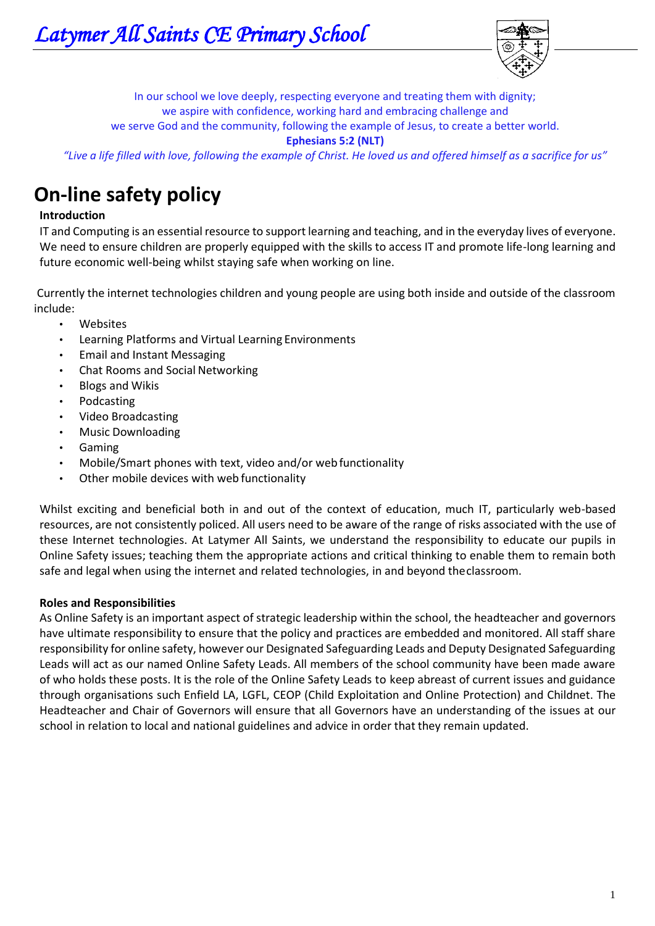

In our school we love deeply, respecting everyone and treating them with dignity; we aspire with confidence, working hard and embracing challenge and we serve God and the community, following the example of Jesus, to create a better world. **Ephesians 5:2 (NLT)**

*"Live a life filled with love, following the example of Christ. He loved us and offered himself as a sacrifice for us"*

# **On-line safety policy**

# **Introduction**

IT and Computing is an essential resource to support learning and teaching, and in the everyday lives of everyone. We need to ensure children are properly equipped with the skills to access IT and promote life-long learning and future economic well-being whilst staying safe when working on line.

Currently the internet technologies children and young people are using both inside and outside of the classroom include:

- Websites
- Learning Platforms and Virtual Learning Environments
- Email and Instant Messaging
- Chat Rooms and Social Networking
- Blogs and Wikis
- Podcasting
- Video Broadcasting
- Music Downloading
- Gaming
- Mobile/Smart phones with text, video and/or web functionality
- Other mobile devices with web functionality

Whilst exciting and beneficial both in and out of the context of education, much IT, particularly web-based resources, are not consistently policed. All users need to be aware of the range of risks associated with the use of these Internet technologies. At Latymer All Saints, we understand the responsibility to educate our pupils in Online Safety issues; teaching them the appropriate actions and critical thinking to enable them to remain both safe and legal when using the internet and related technologies, in and beyond theclassroom.

#### **Roles and Responsibilities**

As Online Safety is an important aspect of strategic leadership within the school, the headteacher and governors have ultimate responsibility to ensure that the policy and practices are embedded and monitored. All staff share responsibility for online safety, however our Designated Safeguarding Leads and Deputy Designated Safeguarding Leads will act as our named Online Safety Leads. All members of the school community have been made aware of who holds these posts. It is the role of the Online Safety Leads to keep abreast of current issues and guidance through organisations such Enfield LA, LGFL, CEOP (Child Exploitation and Online Protection) and Childnet. The Headteacher and Chair of Governors will ensure that all Governors have an understanding of the issues at our school in relation to local and national guidelines and advice in order that they remain updated.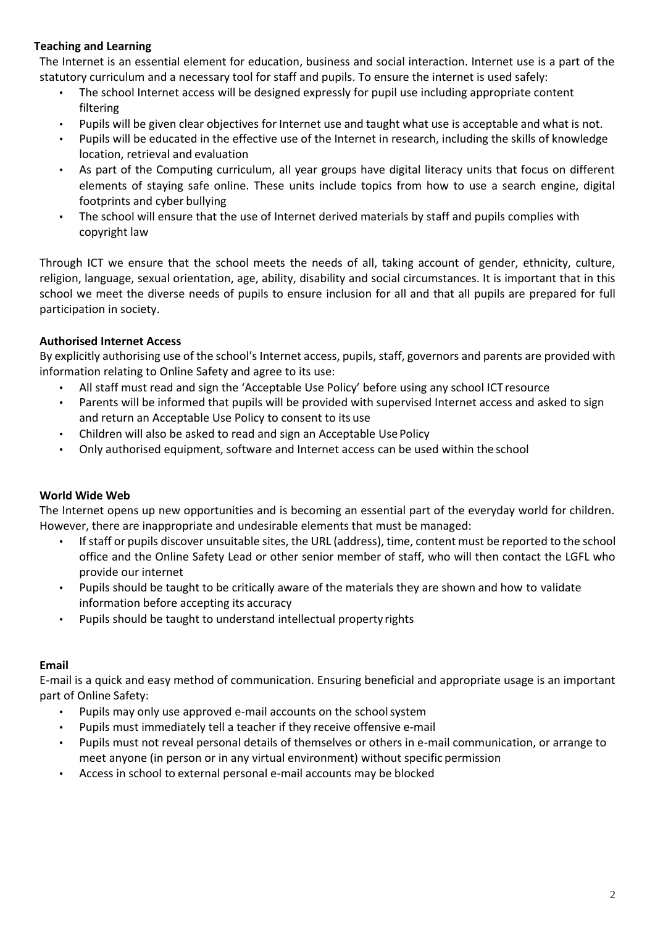# **Teaching and Learning**

The Internet is an essential element for education, business and social interaction. Internet use is a part of the statutory curriculum and a necessary tool for staff and pupils. To ensure the internet is used safely:

- The school Internet access will be designed expressly for pupil use including appropriate content filtering
- Pupils will be given clear objectives for Internet use and taught what use is acceptable and what is not.
- Pupils will be educated in the effective use of the Internet in research, including the skills of knowledge location, retrieval and evaluation
- As part of the Computing curriculum, all year groups have digital literacy units that focus on different elements of staying safe online. These units include topics from how to use a search engine, digital footprints and cyber bullying
- The school will ensure that the use of Internet derived materials by staff and pupils complies with copyright law

Through ICT we ensure that the school meets the needs of all, taking account of gender, ethnicity, culture, religion, language, sexual orientation, age, ability, disability and social circumstances. It is important that in this school we meet the diverse needs of pupils to ensure inclusion for all and that all pupils are prepared for full participation in society.

## **Authorised Internet Access**

By explicitly authorising use of the school's Internet access, pupils, staff, governors and parents are provided with information relating to Online Safety and agree to its use:

- All staff must read and sign the 'Acceptable Use Policy' before using any school ICT resource
- Parents will be informed that pupils will be provided with supervised Internet access and asked to sign and return an Acceptable Use Policy to consent to its use
- Children will also be asked to read and sign an Acceptable Use Policy
- Only authorised equipment, software and Internet access can be used within the school

## **World Wide Web**

The Internet opens up new opportunities and is becoming an essential part of the everyday world for children. However, there are inappropriate and undesirable elements that must be managed:

- If staff or pupils discover unsuitable sites, the URL (address), time, content must be reported to the school office and the Online Safety Lead or other senior member of staff, who will then contact the LGFL who provide our internet
- Pupils should be taught to be critically aware of the materials they are shown and how to validate information before accepting its accuracy
- Pupils should be taught to understand intellectual property rights

## **Email**

E-mail is a quick and easy method of communication. Ensuring beneficial and appropriate usage is an important part of Online Safety:

- Pupils may only use approved e-mail accounts on the schoolsystem
- Pupils must immediately tell a teacher if they receive offensive e-mail
- Pupils must not reveal personal details of themselves or others in e-mail communication, or arrange to meet anyone (in person or in any virtual environment) without specific permission
- Access in school to external personal e-mail accounts may be blocked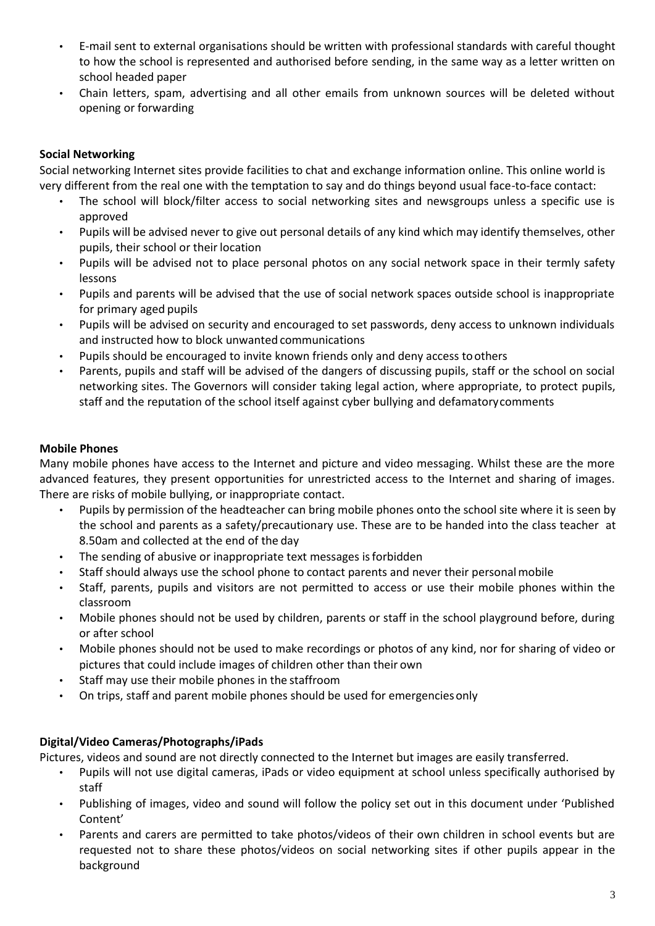- E-mail sent to external organisations should be written with professional standards with careful thought to how the school is represented and authorised before sending, in the same way as a letter written on school headed paper
- Chain letters, spam, advertising and all other emails from unknown sources will be deleted without opening or forwarding

# **Social Networking**

Social networking Internet sites provide facilities to chat and exchange information online. This online world is very different from the real one with the temptation to say and do things beyond usual face-to-face contact:

- The school will block/filter access to social networking sites and newsgroups unless a specific use is approved
- Pupils will be advised never to give out personal details of any kind which may identify themselves, other pupils, their school or their location
- Pupils will be advised not to place personal photos on any social network space in their termly safety lessons
- Pupils and parents will be advised that the use of social network spaces outside school is inappropriate for primary aged pupils
- Pupils will be advised on security and encouraged to set passwords, deny access to unknown individuals and instructed how to block unwanted communications
- Pupils should be encouraged to invite known friends only and deny access toothers
- Parents, pupils and staff will be advised of the dangers of discussing pupils, staff or the school on social networking sites. The Governors will consider taking legal action, where appropriate, to protect pupils, staff and the reputation of the school itself against cyber bullying and defamatorycomments

## **Mobile Phones**

Many mobile phones have access to the Internet and picture and video messaging. Whilst these are the more advanced features, they present opportunities for unrestricted access to the Internet and sharing of images. There are risks of mobile bullying, or inappropriate contact.

- Pupils by permission of the headteacher can bring mobile phones onto the school site where it is seen by the school and parents as a safety/precautionary use. These are to be handed into the class teacher at 8.50am and collected at the end of the day
- The sending of abusive or inappropriate text messages is forbidden
- Staff should always use the school phone to contact parents and never their personalmobile
- Staff, parents, pupils and visitors are not permitted to access or use their mobile phones within the classroom
- Mobile phones should not be used by children, parents or staff in the school playground before, during or after school
- Mobile phones should not be used to make recordings or photos of any kind, nor for sharing of video or pictures that could include images of children other than their own
- Staff may use their mobile phones in the staffroom
- On trips, staff and parent mobile phones should be used for emergenciesonly

## **Digital/Video Cameras/Photographs/iPads**

Pictures, videos and sound are not directly connected to the Internet but images are easily transferred.

- Pupils will not use digital cameras, iPads or video equipment at school unless specifically authorised by staff
- Publishing of images, video and sound will follow the policy set out in this document under 'Published Content'
- Parents and carers are permitted to take photos/videos of their own children in school events but are requested not to share these photos/videos on social networking sites if other pupils appear in the background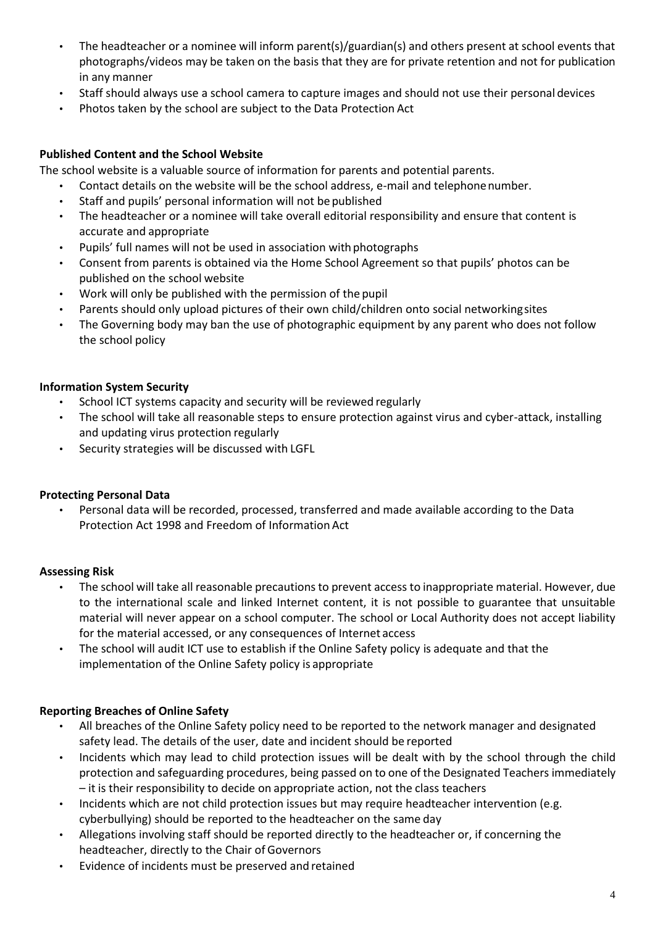- The headteacher or a nominee will inform parent(s)/guardian(s) and others present at school events that photographs/videos may be taken on the basis that they are for private retention and not for publication in any manner
- Staff should always use a school camera to capture images and should not use their personal devices
- Photos taken by the school are subject to the Data Protection Act

## **Published Content and the School Website**

The school website is a valuable source of information for parents and potential parents.

- Contact details on the website will be the school address, e-mail and telephonenumber.
- Staff and pupils' personal information will not be published
- The headteacher or a nominee will take overall editorial responsibility and ensure that content is accurate and appropriate
- Pupils' full names will not be used in association with photographs
- Consent from parents is obtained via the Home School Agreement so that pupils' photos can be published on the school website
- Work will only be published with the permission of the pupil
- Parents should only upload pictures of their own child/children onto social networkingsites
- The Governing body may ban the use of photographic equipment by any parent who does not follow the school policy

## **Information System Security**

- School ICT systems capacity and security will be reviewed regularly
- The school will take all reasonable steps to ensure protection against virus and cyber-attack, installing and updating virus protection regularly
- Security strategies will be discussed with LGFL

## **Protecting Personal Data**

• Personal data will be recorded, processed, transferred and made available according to the Data Protection Act 1998 and Freedom of Information Act

## **Assessing Risk**

- The school will take all reasonable precautions to prevent access to inappropriate material. However, due to the international scale and linked Internet content, it is not possible to guarantee that unsuitable material will never appear on a school computer. The school or Local Authority does not accept liability for the material accessed, or any consequences of Internet access
- The school will audit ICT use to establish if the Online Safety policy is adequate and that the implementation of the Online Safety policy is appropriate

## **Reporting Breaches of Online Safety**

- All breaches of the Online Safety policy need to be reported to the network manager and designated safety lead. The details of the user, date and incident should be reported
- Incidents which may lead to child protection issues will be dealt with by the school through the child protection and safeguarding procedures, being passed on to one of the Designated Teachers immediately – it is their responsibility to decide on appropriate action, not the class teachers
- Incidents which are not child protection issues but may require headteacher intervention (e.g. cyberbullying) should be reported to the headteacher on the same day
- Allegations involving staff should be reported directly to the headteacher or, if concerning the headteacher, directly to the Chair of Governors
- Evidence of incidents must be preserved and retained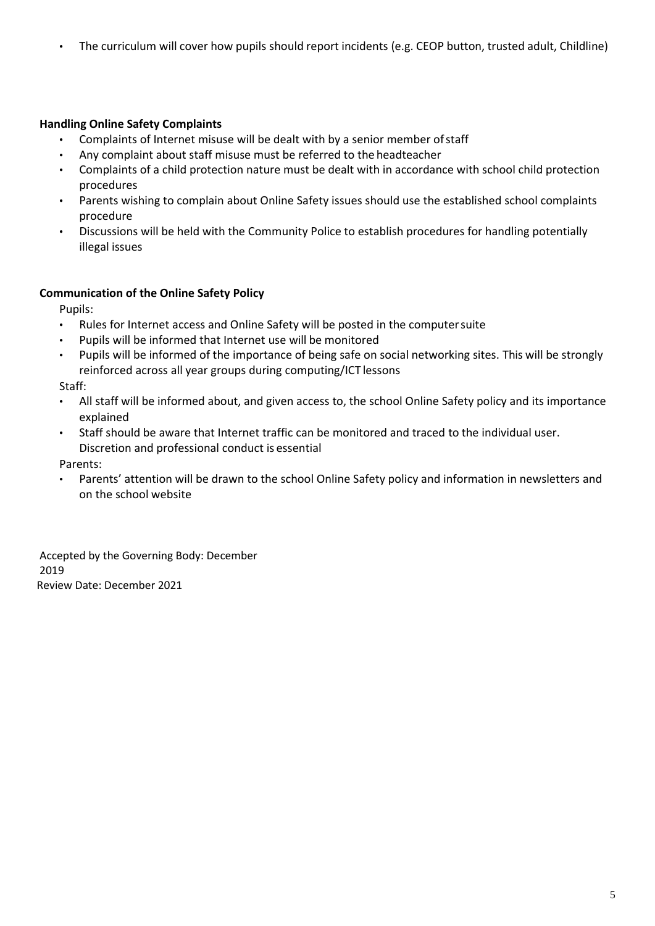• The curriculum will cover how pupils should report incidents (e.g. CEOP button, trusted adult, Childline)

# **Handling Online Safety Complaints**

- Complaints of Internet misuse will be dealt with by a senior member ofstaff
- Any complaint about staff misuse must be referred to the headteacher
- Complaints of a child protection nature must be dealt with in accordance with school child protection procedures
- Parents wishing to complain about Online Safety issues should use the established school complaints procedure
- Discussions will be held with the Community Police to establish procedures for handling potentially illegal issues

## **Communication of the Online Safety Policy**

Pupils:

- Rules for Internet access and Online Safety will be posted in the computersuite
- Pupils will be informed that Internet use will be monitored
- Pupils will be informed of the importance of being safe on social networking sites. This will be strongly reinforced across all year groups during computing/ICT lessons

Staff:

- All staff will be informed about, and given access to, the school Online Safety policy and its importance explained
- Staff should be aware that Internet traffic can be monitored and traced to the individual user. Discretion and professional conduct is essential

Parents:

Parents' attention will be drawn to the school Online Safety policy and information in newsletters and on the school website

Accepted by the Governing Body: December 2019 Review Date: December 2021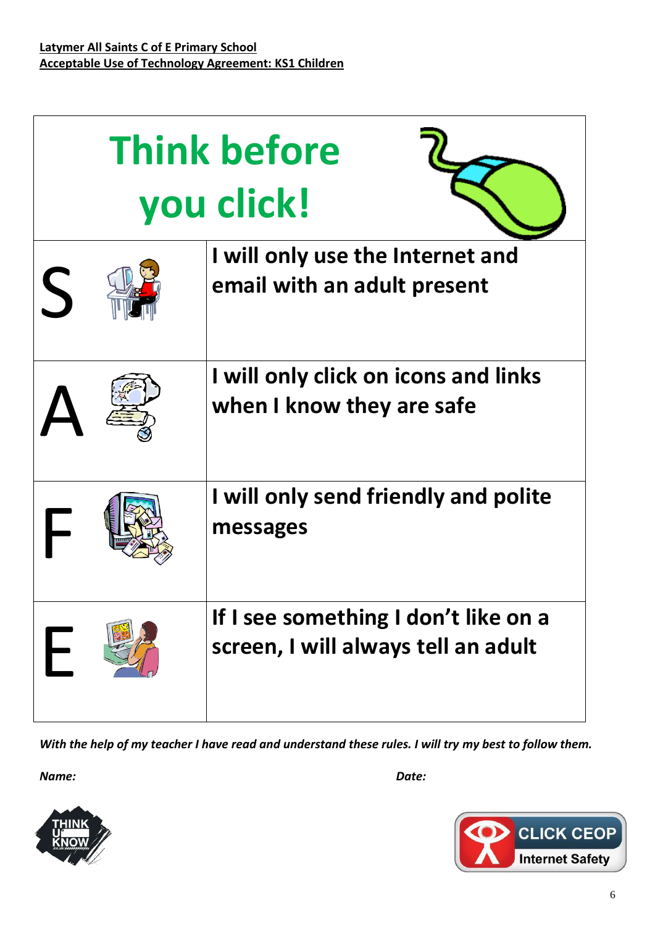| <b>Think before</b><br>you click! |                                                                             |
|-----------------------------------|-----------------------------------------------------------------------------|
| $\left\langle \right\rangle$      | I will only use the Internet and<br>email with an adult present             |
|                                   | I will only click on icons and links<br>when I know they are safe           |
|                                   | I will only send friendly and polite<br>messages                            |
|                                   | If I see something I don't like on a<br>screen, I will always tell an adult |

*With the help of my teacher I have read and understand these rules. I will try my best to follow them.* 

*Name: Date:*



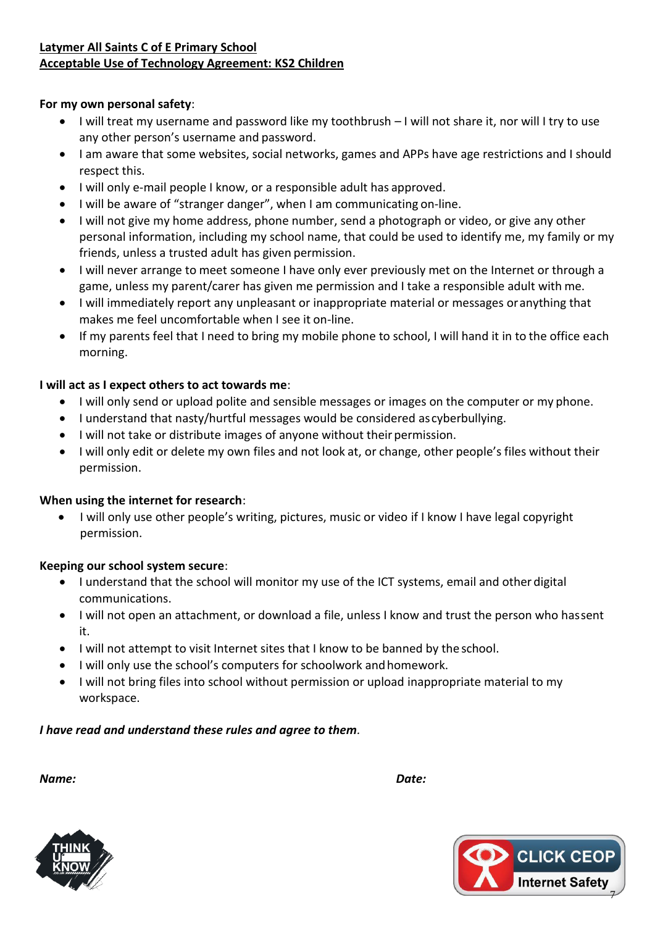# **Latymer All Saints C of E Primary School Acceptable Use of Technology Agreement: KS2 Children**

# **For my own personal safety**:

- I will treat my username and password like my toothbrush I will not share it, nor will I try to use any other person's username and password.
- I am aware that some websites, social networks, games and APPs have age restrictions and I should respect this.
- I will only e-mail people I know, or a responsible adult has approved.
- I will be aware of "stranger danger", when I am communicating on-line.
- I will not give my home address, phone number, send a photograph or video, or give any other personal information, including my school name, that could be used to identify me, my family or my friends, unless a trusted adult has given permission.
- I will never arrange to meet someone I have only ever previously met on the Internet or through a game, unless my parent/carer has given me permission and I take a responsible adult with me.
- I will immediately report any unpleasant or inappropriate material or messages oranything that makes me feel uncomfortable when I see it on-line.
- If my parents feel that I need to bring my mobile phone to school, I will hand it in to the office each morning.

# **I will act as I expect others to act towards me**:

- I will only send or upload polite and sensible messages or images on the computer or my phone.
- I understand that nasty/hurtful messages would be considered as cyberbullying.
- I will not take or distribute images of anyone without their permission.
- I will only edit or delete my own files and not look at, or change, other people's files without their permission.

# **When using the internet for research**:

 I will only use other people's writing, pictures, music or video if I know I have legal copyright permission.

# **Keeping our school system secure**:

- I understand that the school will monitor my use of the ICT systems, email and other digital communications.
- I will not open an attachment, or download a file, unless I know and trust the person who hassent it.
- I will not attempt to visit Internet sites that I know to be banned by the school.
- I will only use the school's computers for schoolwork and homework.
- I will not bring files into school without permission or upload inappropriate material to my workspace.

# *I have read and understand these rules and agree to them.*

*Name: Date:*